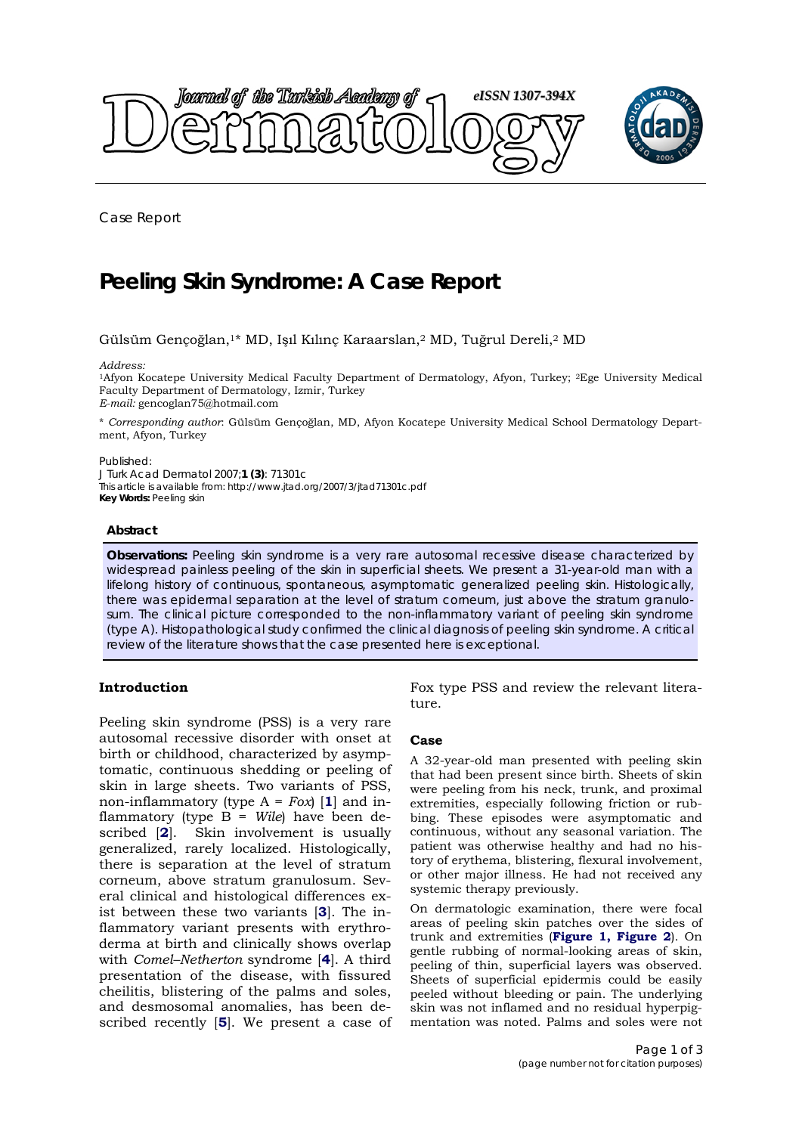

Case Report

# **Peeling Skin Syndrome: A Case Report**

# Gülsüm Gençoğlan,1\* MD, Işıl Kılınç Karaarslan,2 MD, Tuğrul Dereli,2 MD

#### *Address:*

1Afyon Kocatepe University Medical Faculty Department of Dermatology, Afyon, Turkey; 2Ege University Medical Faculty Department of Dermatology, Izmir, Turkey *E-mail:* gencoglan75@hotmail.com

\* *Corresponding author*: Gülsüm Gençoğlan, MD, Afyon Kocatepe University Medical School Dermatology Department, Afyon, Turkey

#### Published:

*J Turk Acad Dermatol* 2007;**1 (3)**: 71301c This article is available from: http://www.jtad.org/2007/3/jtad71301c.pdf **Key Words:** Peeling skin

#### **Abstract**

**Observations:** Peeling skin syndrome is a very rare autosomal recessive disease characterized by widespread painless peeling of the skin in superficial sheets. We present a 31-year-old man with a lifelong history of continuous, spontaneous, asymptomatic generalized peeling skin. Histologically, there was epidermal separation at the level of stratum corneum, just above the stratum granulosum. The clinical picture corresponded to the non-inflammatory variant of peeling skin syndrome (type A). Histopathological study confirmed the clinical diagnosis of peeling skin syndrome. A critical review of the literature shows that the case presented here is exceptional.

# **Introduction**

Peeling skin syndrome (PSS) is a very rare autosomal recessive disorder with onset at birth or childhood, characterized by asymptomatic, continuous shedding or peeling of skin in large sheets. Two variants of PSS, non-inflammatory (type  $A = Fox$ ) [1] and inflammatory (type B = *Wile*) have been described [**2**]. Skin involvement is usually generalized, rarely localized. Histologically, there is separation at the level of stratum corneum, above stratum granulosum. Several clinical and histological differences exist between these two variants [**3**]. The inflammatory variant presents with erythroderma at birth and clinically shows overlap with *Comel–Netherton* syndrome [**4**]. A third presentation of the disease, with fissured cheilitis, blistering of the palms and soles, and desmosomal anomalies, has been described recently [**5**]. We present a case of Fox type PSS and review the relevant literature.

### **Case**

A 32-year-old man presented with peeling skin that had been present since birth. Sheets of skin were peeling from his neck, trunk, and proximal extremities, especially following friction or rubbing. These episodes were asymptomatic and continuous, without any seasonal variation. The patient was otherwise healthy and had no history of erythema, blistering, flexural involvement, or other major illness. He had not received any systemic therapy previously.

On dermatologic examination, there were focal areas of peeling skin patches over the sides of trunk and extremities (**Figure 1, Figure 2**). On gentle rubbing of normal-looking areas of skin, peeling of thin, superficial layers was observed. Sheets of superficial epidermis could be easily peeled without bleeding or pain. The underlying skin was not inflamed and no residual hyperpigmentation was noted. Palms and soles were not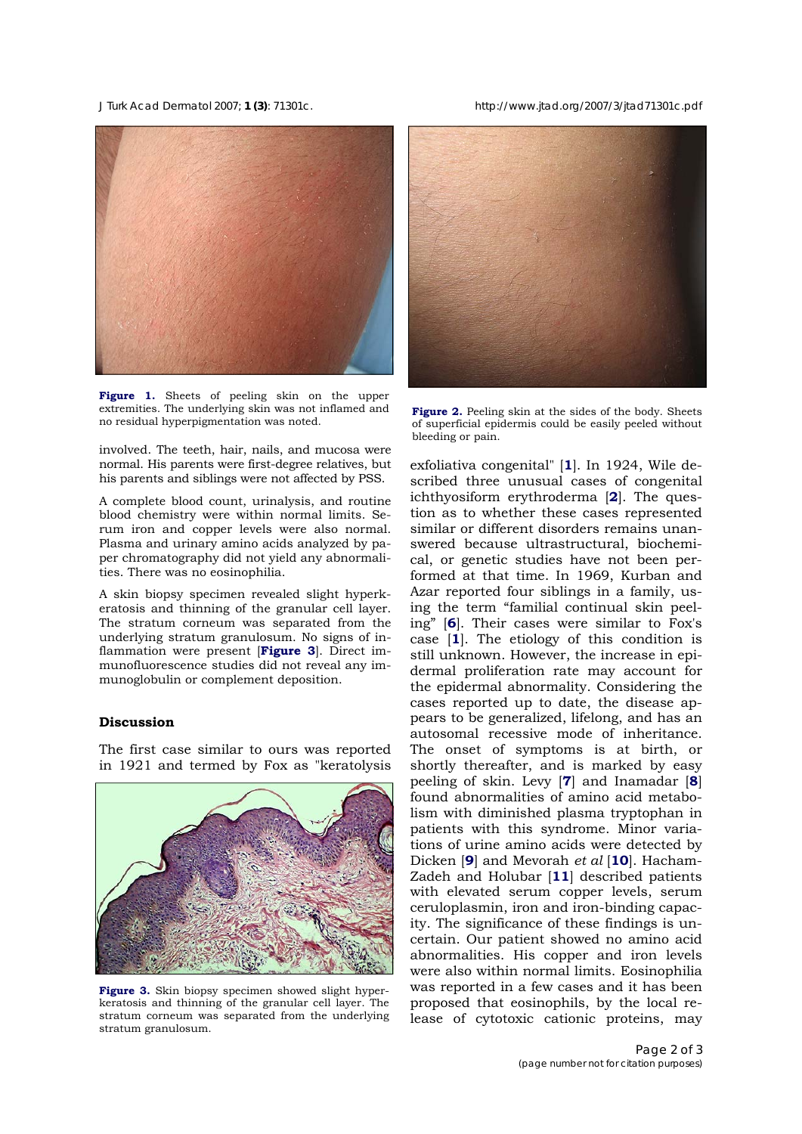*J Turk Acad Dermatol* 2007; **1 (3)**: 71301c. http://www.jtad.org/2007/3/jtad71301c.pdf



**Figure 1.** Sheets of peeling skin on the upper extremities. The underlying skin was not inflamed and extremities. The underlying skin was not inflamed and<br> **Figure 2.** Peeling skin at the sides of the body. Sheets<br>
of superficial epidermis could be easily peeled without

involved. The teeth, hair, nails, and mucosa were normal. His parents were first-degree relatives, but his parents and siblings were not affected by PSS.

A complete blood count, urinalysis, and routine blood chemistry were within normal limits. Serum iron and copper levels were also normal. Plasma and urinary amino acids analyzed by paper chromatography did not yield any abnormalities. There was no eosinophilia.

A skin biopsy specimen revealed slight hyperkeratosis and thinning of the granular cell layer. The stratum corneum was separated from the underlying stratum granulosum. No signs of inflammation were present [**Figure 3**]. Direct immunofluorescence studies did not reveal any immunoglobulin or complement deposition.

# **Discussion**

The first case similar to ours was reported in 1921 and termed by Fox as "keratolysis



**Figure 3.** Skin biopsy specimen showed slight hyperkeratosis and thinning of the granular cell layer. The stratum corneum was separated from the underlying stratum granulosum.



of superficial epidermis could be easily peeled without bleeding or pain.

exfoliativa congenital" [**1**]. In 1924, Wile described three unusual cases of congenital ichthyosiform erythroderma [**2**]. The question as to whether these cases represented similar or different disorders remains unanswered because ultrastructural, biochemical, or genetic studies have not been performed at that time. In 1969, Kurban and Azar reported four siblings in a family, using the term "familial continual skin peeling" [**6**]. Their cases were similar to Fox's case [**1**]. The etiology of this condition is still unknown. However, the increase in epidermal proliferation rate may account for the epidermal abnormality. Considering the cases reported up to date, the disease appears to be generalized, lifelong, and has an autosomal recessive mode of inheritance. The onset of symptoms is at birth, or shortly thereafter, and is marked by easy peeling of skin. Levy [**7**] and Inamadar [**8**] found abnormalities of amino acid metabolism with diminished plasma tryptophan in patients with this syndrome. Minor variations of urine amino acids were detected by Dicken [**9**] and Mevorah *et al* [**10**]. Hacham-Zadeh and Holubar [**11**] described patients with elevated serum copper levels, serum ceruloplasmin, iron and iron-binding capacity. The significance of these findings is uncertain. Our patient showed no amino acid abnormalities. His copper and iron levels were also within normal limits. Eosinophilia was reported in a few cases and it has been proposed that eosinophils, by the local release of cytotoxic cationic proteins, may